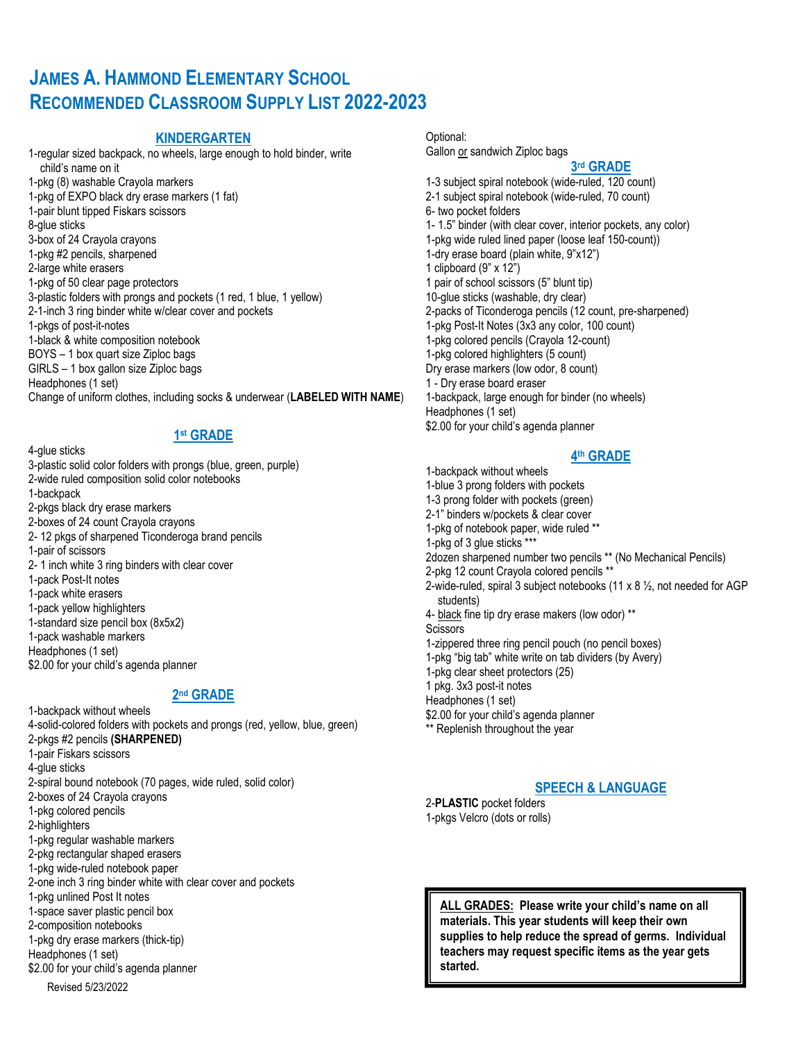# **JAMES A. HAMMOND ELEMENTARY SCHOOL RECOMMENDED CLASSROOM SUPPLY LIST 2022-2023**

#### **KINDERGARTEN**

1-regular sized backpack, no wheels, large enough to hold binder, write child's name on it 1-pkg (8) washable Crayola markers 1-pkg of EXPO black dry erase markers (1 fat) 1-pair blunt tipped Fiskars scissors 8-glue sticks 3-box of 24 Crayola crayons 1-pkg #2 pencils, sharpened 2-large white erasers 1-pkg of 50 clear page protectors 3-plastic folders with prongs and pockets (1 red, 1 blue, 1 yellow) 2-1-inch 3 ring binder white w/clear cover and pockets 1-pkgs of post-it-notes 1-black & white composition notebook BOYS – 1 box quart size Ziploc bags GIRLS – 1 box gallon size Ziploc bags Headphones (1 set) Change of uniform clothes, including socks & underwear (**LABELED WITH NAME**)

## **1 st GRADE**

4-glue sticks 3-plastic solid color folders with prongs (blue, green, purple) 2-wide ruled composition solid color notebooks 1-backpack 2-pkgs black dry erase markers 2-boxes of 24 count Crayola crayons 2- 12 pkgs of sharpened Ticonderoga brand pencils 1-pair of scissors 2- 1 inch white 3 ring binders with clear cover 1-pack Post-It notes 1-pack white erasers 1-pack yellow highlighters 1-standard size pencil box (8x5x2) 1-pack washable markers Headphones (1 set) \$2.00 for your child's agenda planner

### **2 nd GRADE**

Revised 5/23/2022 1-backpack without wheels 4-solid-colored folders with pockets and prongs (red, yellow, blue, green) 2-pkgs #2 pencils **(SHARPENED)** 1-pair Fiskars scissors 4-glue sticks 2-spiral bound notebook (70 pages, wide ruled, solid color) 2-boxes of 24 Crayola crayons 1-pkg colored pencils 2-highlighters 1-pkg regular washable markers 2-pkg rectangular shaped erasers 1-pkg wide-ruled notebook paper 2-one inch 3 ring binder white with clear cover and pockets 1-pkg unlined Post It notes 1-space saver plastic pencil box 2-composition notebooks 1-pkg dry erase markers (thick-tip) Headphones (1 set) \$2.00 for your child's agenda planner

Optional: Gallon or sandwich Ziploc bags

**3 rd GRADE** 1-3 subject spiral notebook (wide-ruled, 120 count) 2-1 subject spiral notebook (wide-ruled, 70 count) 6- two pocket folders 1- 1.5" binder (with clear cover, interior pockets, any color) 1-pkg wide ruled lined paper (loose leaf 150-count)) 1-dry erase board (plain white, 9"x12") 1 clipboard (9" x 12") 1 pair of school scissors (5" blunt tip) 10-glue sticks (washable, dry clear) 2-packs of Ticonderoga pencils (12 count, pre-sharpened) 1-pkg Post-It Notes (3x3 any color, 100 count) 1-pkg colored pencils (Crayola 12-count) 1-pkg colored highlighters (5 count) Dry erase markers (low odor, 8 count) 1 - Dry erase board eraser 1-backpack, large enough for binder (no wheels) Headphones (1 set) \$2.00 for your child's agenda planner

## **4 th GRADE**

1-backpack without wheels 1-blue 3 prong folders with pockets 1-3 prong folder with pockets (green) 2-1" binders w/pockets & clear cover 1-pkg of notebook paper, wide ruled \*\* 1-pkg of 3 glue sticks \*\*\* 2dozen sharpened number two pencils \*\* (No Mechanical Pencils) 2-pkg 12 count Crayola colored pencils \*\* 2-wide-ruled, spiral 3 subject notebooks (11 x 8  $\frac{1}{2}$ , not needed for AGP students) 4- black fine tip dry erase makers (low odor) \*\* **Scissors** 1-zippered three ring pencil pouch (no pencil boxes) 1-pkg "big tab" white write on tab dividers (by Avery) 1-pkg clear sheet protectors (25) 1 pkg. 3x3 post-it notes Headphones (1 set) \$2.00 for your child's agenda planner \*\* Replenish throughout the year

# **SPEECH & LANGUAGE**

2-**PLASTIC** pocket folders 1-pkgs Velcro (dots or rolls)

> **ALL GRADES: Please write your child's name on all materials. This year students will keep their own supplies to help reduce the spread of germs. Individual teachers may request specific items as the year gets started.**